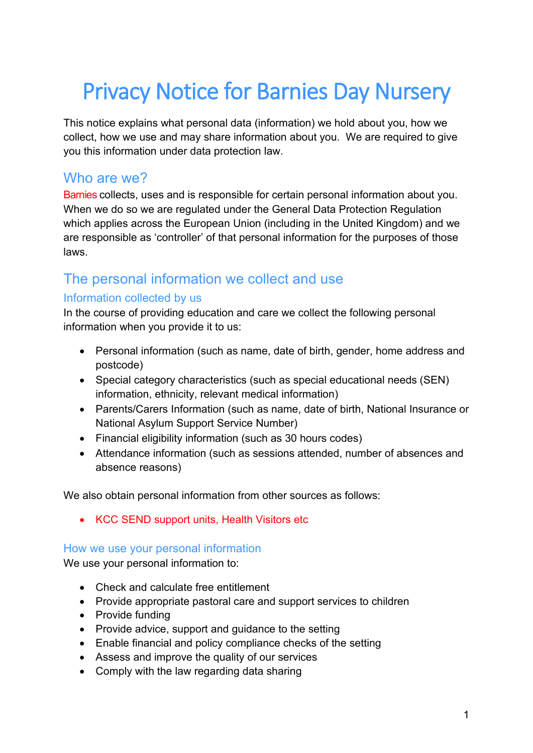# Privacy Notice for Barnies Day Nursery

This notice explains what personal data (information) we hold about you, how we collect, how we use and may share information about you. We are required to give you this information under data protection law.

## Who are we?

Barnies collects, uses and is responsible for certain personal information about you. When we do so we are regulated under the General Data Protection Regulation which applies across the European Union (including in the United Kingdom) and we are responsible as 'controller' of that personal information for the purposes of those laws.

# The personal information we collect and use

## Information collected by us

In the course of providing education and care we collect the following personal information when you provide it to us:

- Personal information (such as name, date of birth, gender, home address and postcode)
- Special category characteristics (such as special educational needs (SEN) information, ethnicity, relevant medical information)
- Parents/Carers Information (such as name, date of birth, National Insurance or National Asylum Support Service Number)
- Financial eligibility information (such as 30 hours codes)
- Attendance information (such as sessions attended, number of absences and absence reasons)

We also obtain personal information from other sources as follows:

• KCC SEND support units, Health Visitors etc

## How we use your personal information

We use your personal information to:

- Check and calculate free entitlement
- Provide appropriate pastoral care and support services to children
- Provide funding
- Provide advice, support and guidance to the setting
- Enable financial and policy compliance checks of the setting
- Assess and improve the quality of our services
- Comply with the law regarding data sharing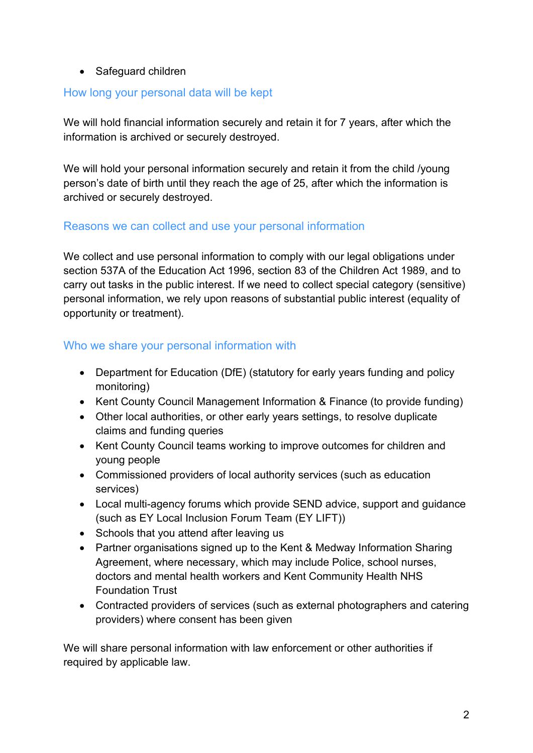#### • Safeguard children

#### How long your personal data will be kept

We will hold financial information securely and retain it for 7 years, after which the information is archived or securely destroyed.

We will hold your personal information securely and retain it from the child /young person's date of birth until they reach the age of 25, after which the information is archived or securely destroyed.

#### Reasons we can collect and use your personal information

We collect and use personal information to comply with our legal obligations under section 537A of the Education Act 1996, section 83 of the Children Act 1989, and to carry out tasks in the public interest. If we need to collect special category (sensitive) personal information, we rely upon reasons of substantial public interest (equality of opportunity or treatment).

## Who we share your personal information with

- Department for Education (DfE) (statutory for early years funding and policy monitoring)
- Kent County Council Management Information & Finance (to provide funding)
- Other local authorities, or other early years settings, to resolve duplicate claims and funding queries
- Kent County Council teams working to improve outcomes for children and young people
- Commissioned providers of local authority services (such as education services)
- Local multi-agency forums which provide SEND advice, support and guidance (such as EY Local Inclusion Forum Team (EY LIFT))
- Schools that you attend after leaving us
- Partner organisations signed up to the Kent & Medway Information Sharing Agreement, where necessary, which may include Police, school nurses, doctors and mental health workers and Kent Community Health NHS Foundation Trust
- Contracted providers of services (such as external photographers and catering providers) where consent has been given

We will share personal information with law enforcement or other authorities if required by applicable law.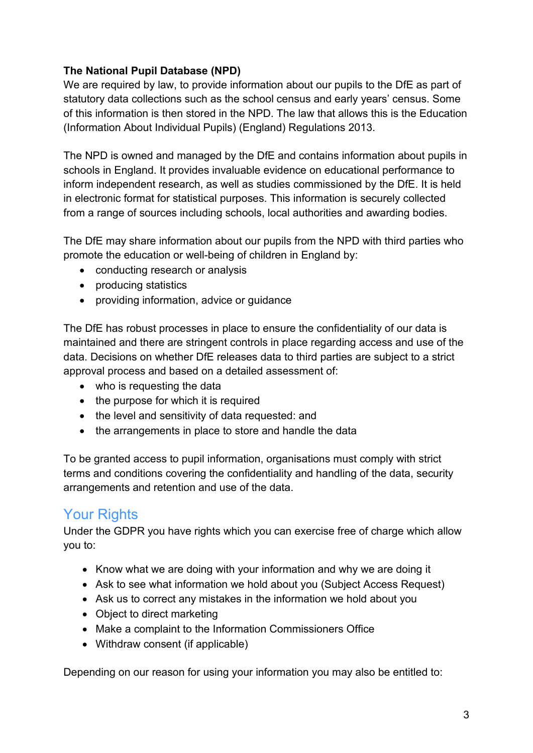## **The National Pupil Database (NPD)**

We are required by law, to provide information about our pupils to the DfE as part of statutory data collections such as the school census and early years' census. Some of this information is then stored in the NPD. The law that allows this is the Education (Information About Individual Pupils) (England) Regulations 2013.

The NPD is owned and managed by the DfE and contains information about pupils in schools in England. It provides invaluable evidence on educational performance to inform independent research, as well as studies commissioned by the DfE. It is held in electronic format for statistical purposes. This information is securely collected from a range of sources including schools, local authorities and awarding bodies.

The DfE may share information about our pupils from the NPD with third parties who promote the education or well-being of children in England by:

- conducting research or analysis
- producing statistics
- providing information, advice or guidance

The DfE has robust processes in place to ensure the confidentiality of our data is maintained and there are stringent controls in place regarding access and use of the data. Decisions on whether DfE releases data to third parties are subject to a strict approval process and based on a detailed assessment of:

- who is requesting the data
- the purpose for which it is required
- the level and sensitivity of data requested: and
- the arrangements in place to store and handle the data

To be granted access to pupil information, organisations must comply with strict terms and conditions covering the confidentiality and handling of the data, security arrangements and retention and use of the data.

# Your Rights

Under the GDPR you have rights which you can exercise free of charge which allow you to:

- Know what we are doing with your information and why we are doing it
- Ask to see what information we hold about you (Subject Access Request)
- Ask us to correct any mistakes in the information we hold about you
- Object to direct marketing
- Make a complaint to the Information Commissioners Office
- Withdraw consent (if applicable)

Depending on our reason for using your information you may also be entitled to: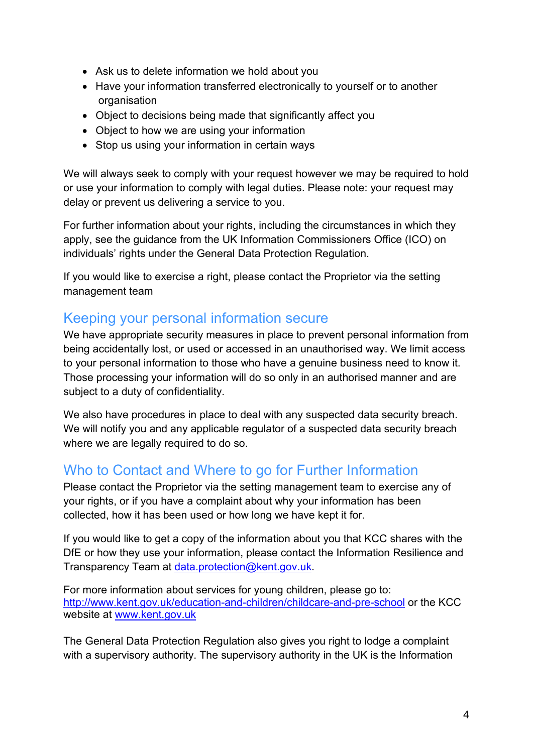- Ask us to delete information we hold about you
- Have your information transferred electronically to yourself or to another organisation
- Object to decisions being made that significantly affect you
- Object to how we are using your information
- Stop us using your information in certain ways

We will always seek to comply with your request however we may be required to hold or use your information to comply with legal duties. Please note: your request may delay or prevent us delivering a service to you.

For further information about your rights, including the circumstances in which they apply, see the guidance from the UK Information Commissioners Office (ICO) on individuals' rights under the General Data Protection Regulation.

If you would like to exercise a right, please contact the Proprietor via the setting management team

## Keeping your personal information secure

We have appropriate security measures in place to prevent personal information from being accidentally lost, or used or accessed in an unauthorised way. We limit access to your personal information to those who have a genuine business need to know it. Those processing your information will do so only in an authorised manner and are subject to a duty of confidentiality.

We also have procedures in place to deal with any suspected data security breach. We will notify you and any applicable regulator of a suspected data security breach where we are legally required to do so.

# Who to Contact and Where to go for Further Information

Please contact the Proprietor via the setting management team to exercise any of your rights, or if you have a complaint about why your information has been collected, how it has been used or how long we have kept it for.

If you would like to get a copy of the information about you that KCC shares with the DfE or how they use your information, please contact the Information Resilience and Transparency Team at [data.protection@kent.gov.uk.](mailto:data.protection@kent.gov.uk)

For more information about services for young children, please go to: <http://www.kent.gov.uk/education-and-children/childcare-and-pre-school> or the KCC website at [www.kent.gov.uk](http://www.kent.gov.uk/)

The General Data Protection Regulation also gives you right to lodge a complaint with a supervisory authority. The supervisory authority in the UK is the Information